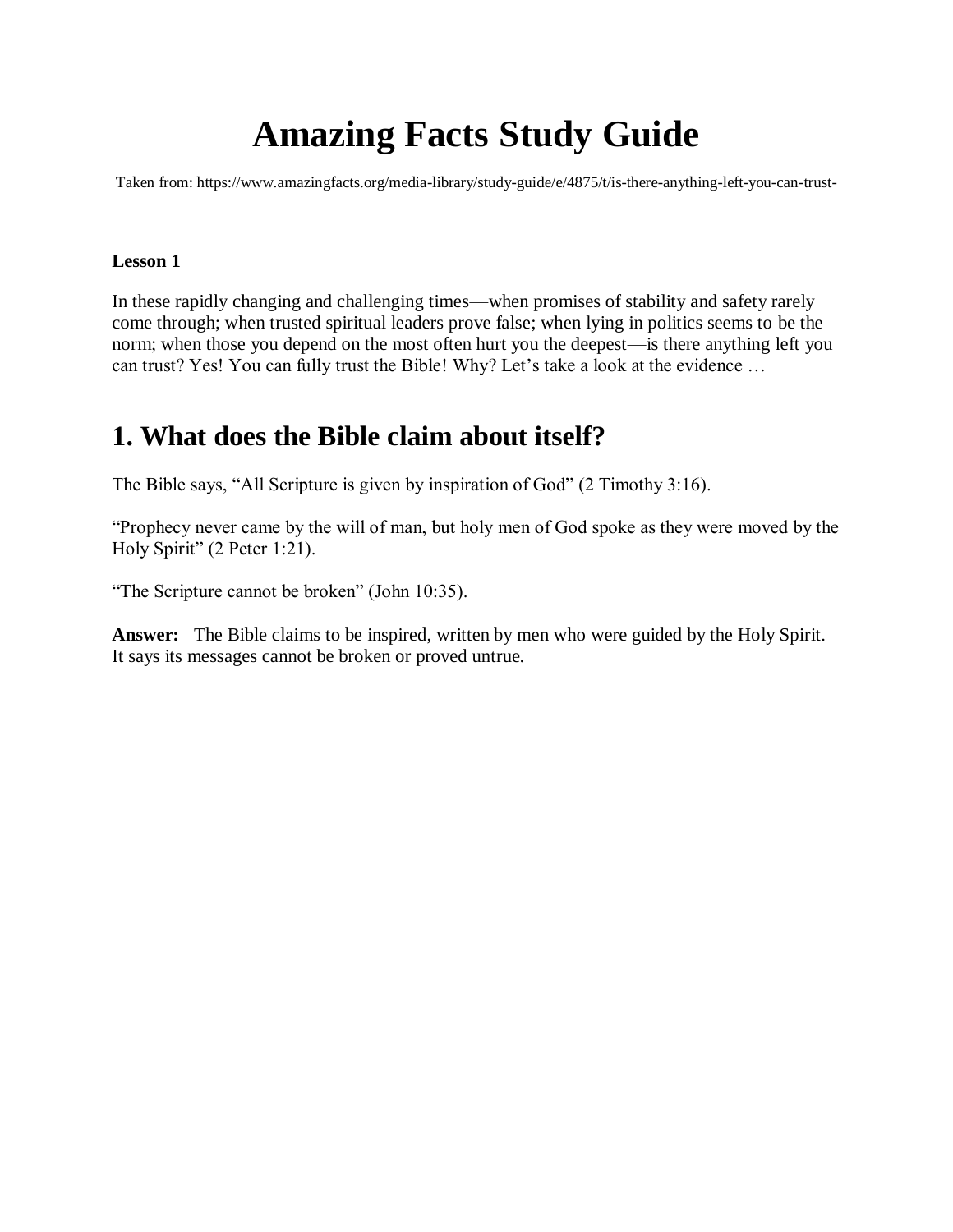# **Amazing Facts Study Guide**

Taken from: https://www.amazingfacts.org/media-library/study-guide/e/4875/t/is-there-anything-left-you-can-trust-

#### **Lesson 1**

In these rapidly changing and challenging times—when promises of stability and safety rarely come through; when trusted spiritual leaders prove false; when lying in politics seems to be the norm; when those you depend on the most often hurt you the deepest—is there anything left you can trust? Yes! You can fully trust the Bible! Why? Let's take a look at the evidence …

### **1. What does the Bible claim about itself?**

The Bible says, "All Scripture is given by inspiration of God" (2 Timothy 3:16).

"Prophecy never came by the will of man, but holy men of God spoke as they were moved by the Holy Spirit" (2 Peter 1:21).

"The Scripture cannot be broken" (John 10:35).

**Answer:** The Bible claims to be inspired, written by men who were guided by the Holy Spirit. It says its messages cannot be broken or proved untrue.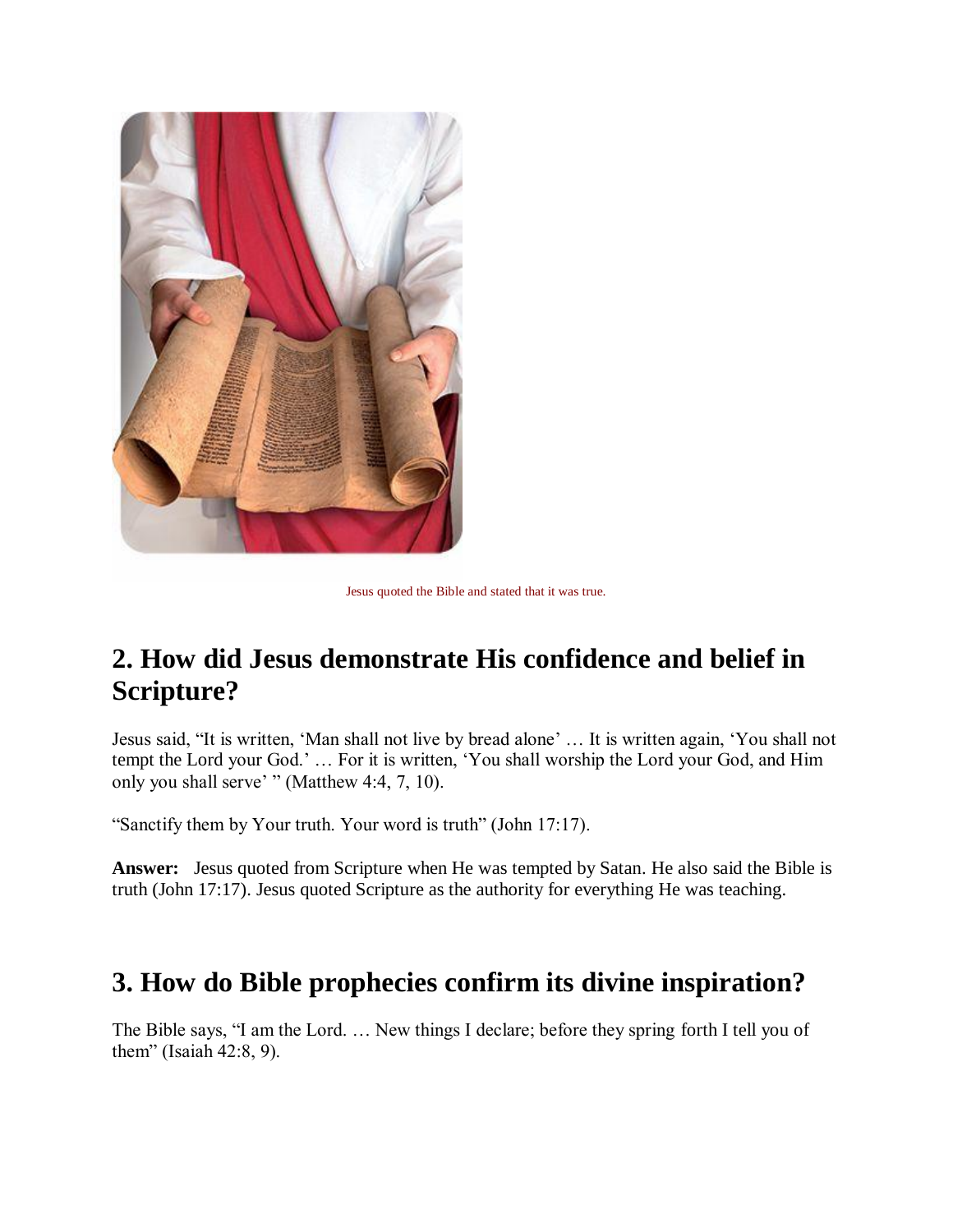

Jesus quoted the Bible and stated that it was true.

# **2. How did Jesus demonstrate His confidence and belief in Scripture?**

Jesus said, "It is written, 'Man shall not live by bread alone' … It is written again, 'You shall not tempt the Lord your God.' … For it is written, 'You shall worship the Lord your God, and Him only you shall serve' " (Matthew 4:4, 7, 10).

"Sanctify them by Your truth. Your word is truth" (John 17:17).

**Answer:** Jesus quoted from Scripture when He was tempted by Satan. He also said the Bible is truth (John 17:17). Jesus quoted Scripture as the authority for everything He was teaching.

### **3. How do Bible prophecies confirm its divine inspiration?**

The Bible says, "I am the Lord. … New things I declare; before they spring forth I tell you of them" (Isaiah 42:8, 9).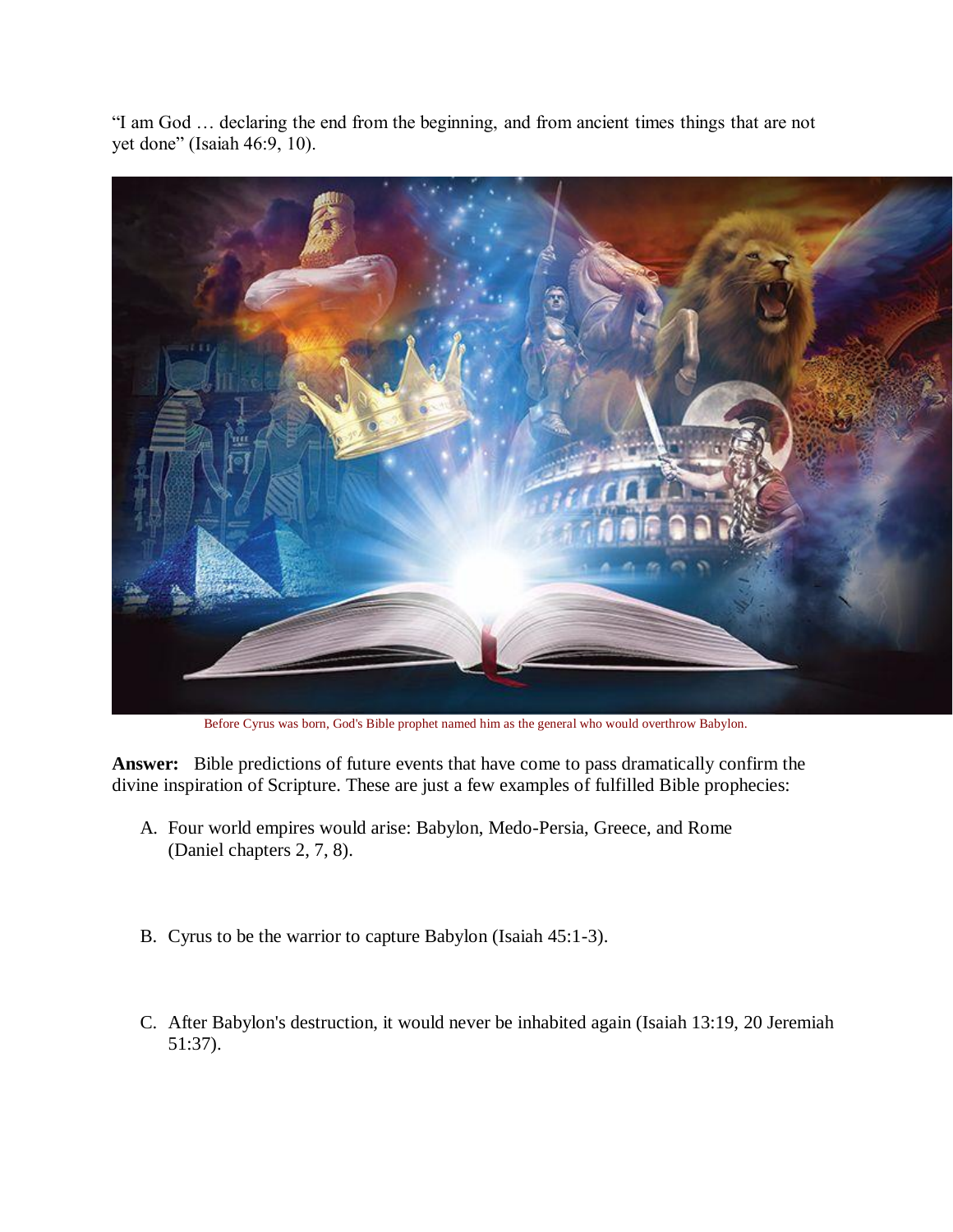"I am God … declaring the end from the beginning, and from ancient times things that are not yet done" (Isaiah 46:9, 10).



Before Cyrus was born, God's Bible prophet named him as the general who would overthrow Babylon.

**Answer:** Bible predictions of future events that have come to pass dramatically confirm the divine inspiration of Scripture. These are just a few examples of fulfilled Bible prophecies:

- A. Four world empires would arise: Babylon, Medo-Persia, Greece, and Rome (Daniel chapters 2, 7, 8).
- B. Cyrus to be the warrior to capture Babylon (Isaiah 45:1-3).
- C. After Babylon's destruction, it would never be inhabited again (Isaiah 13:19, 20 Jeremiah 51:37).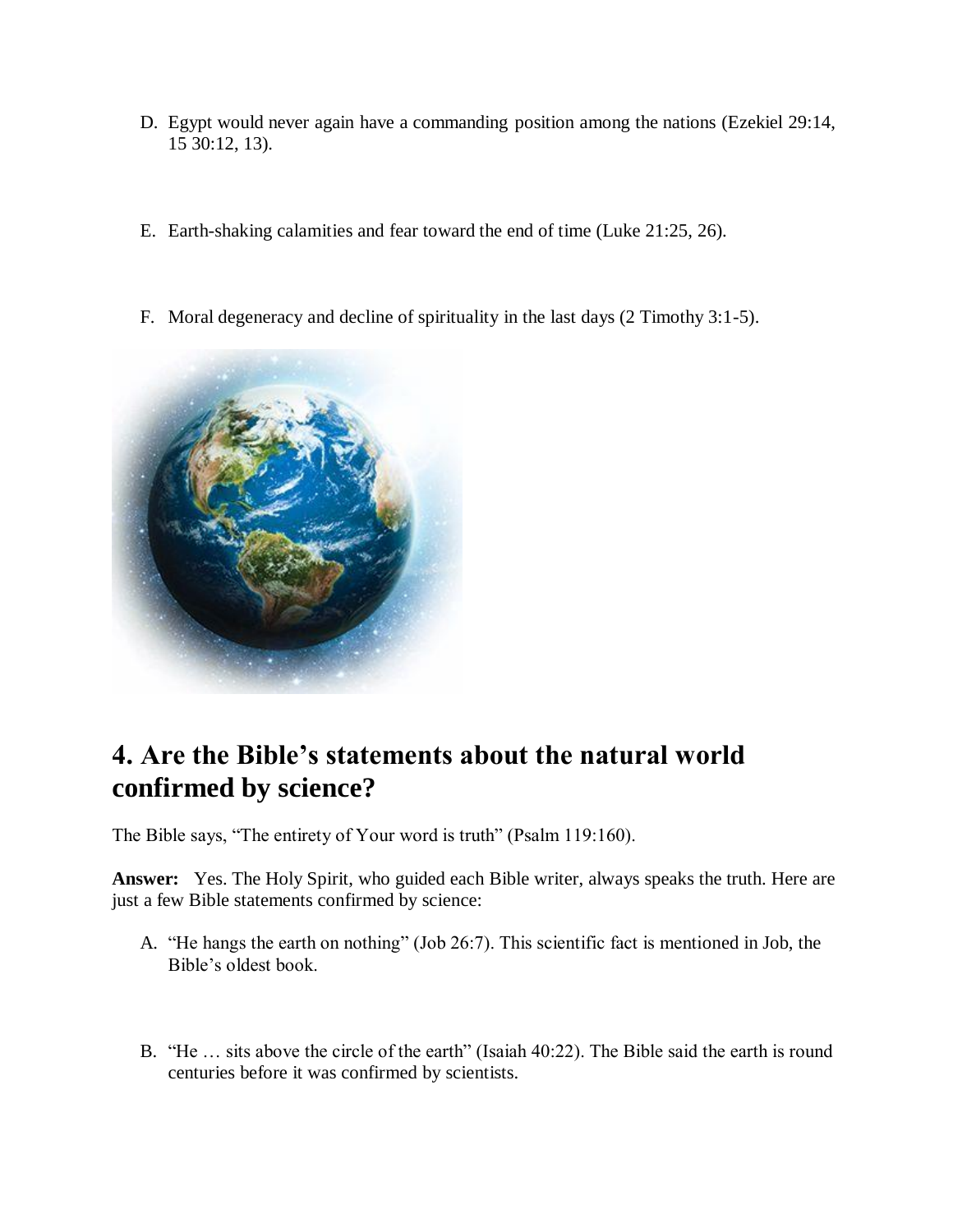- D. Egypt would never again have a commanding position among the nations (Ezekiel 29:14, 15 30:12, 13).
- E. Earth-shaking calamities and fear toward the end of time (Luke 21:25, 26).
- F. Moral degeneracy and decline of spirituality in the last days (2 Timothy 3:1-5).



# **4. Are the Bible's statements about the natural world confirmed by science?**

The Bible says, "The entirety of Your word is truth" (Psalm 119:160).

**Answer:** Yes. The Holy Spirit, who guided each Bible writer, always speaks the truth. Here are just a few Bible statements confirmed by science:

- A. "He hangs the earth on nothing" (Job 26:7). This scientific fact is mentioned in Job, the Bible's oldest book.
- B. "He … sits above the circle of the earth" (Isaiah 40:22). The Bible said the earth is round centuries before it was confirmed by scientists.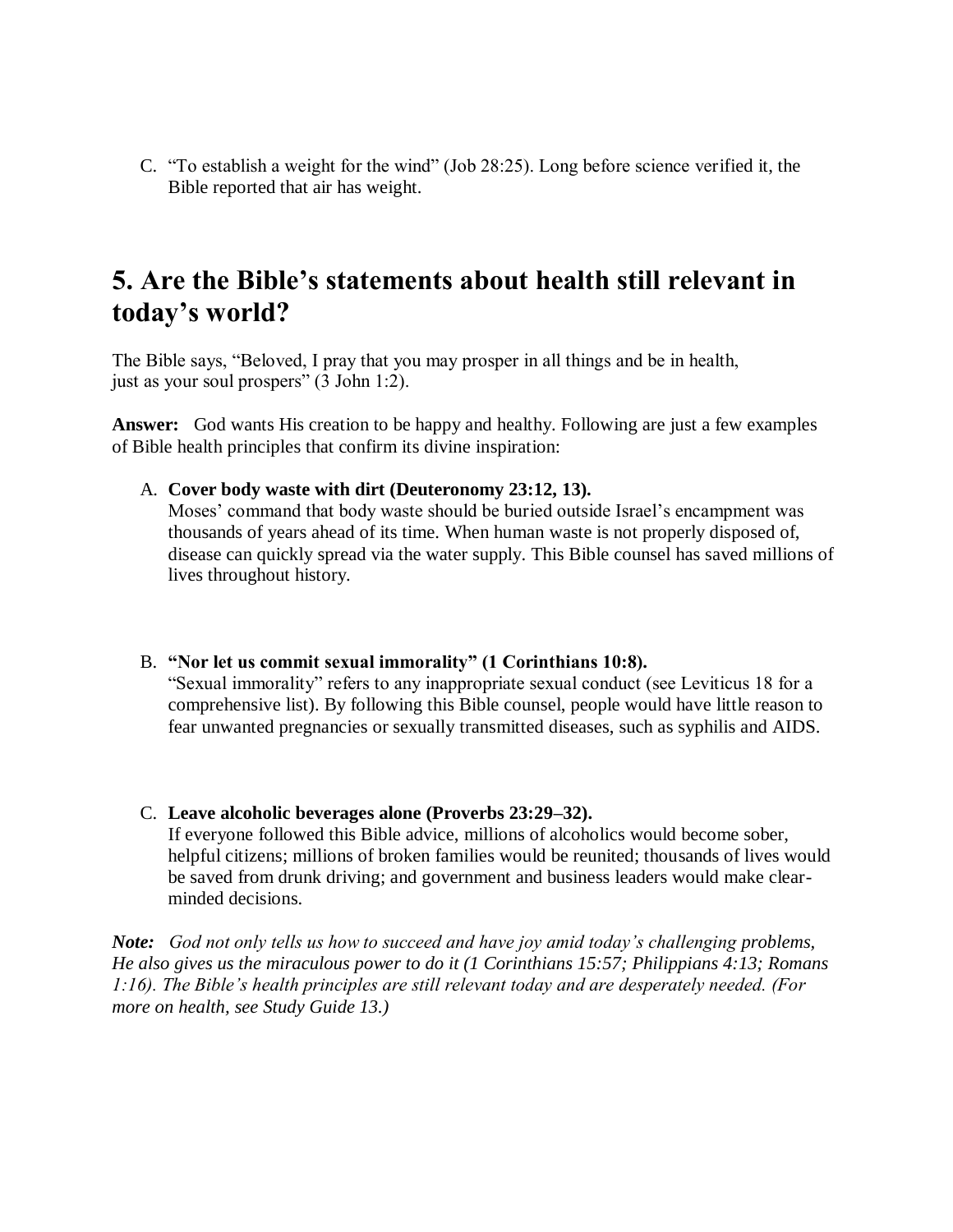C. "To establish a weight for the wind" (Job 28:25). Long before science verified it, the Bible reported that air has weight.

## **5. Are the Bible's statements about health still relevant in today's world?**

The Bible says, "Beloved, I pray that you may prosper in all things and be in health, just as your soul prospers" (3 John 1:2).

**Answer:** God wants His creation to be happy and healthy. Following are just a few examples of Bible health principles that confirm its divine inspiration:

A. **Cover body waste with dirt (Deuteronomy 23:12, 13).**

Moses' command that body waste should be buried outside Israel's encampment was thousands of years ahead of its time. When human waste is not properly disposed of, disease can quickly spread via the water supply. This Bible counsel has saved millions of lives throughout history.

- B. **"Nor let us commit sexual immorality" (1 Corinthians 10:8).** "Sexual immorality" refers to any inappropriate sexual conduct (see Leviticus 18 for a comprehensive list). By following this Bible counsel, people would have little reason to fear unwanted pregnancies or sexually transmitted diseases, such as syphilis and AIDS.
- C. **Leave alcoholic beverages alone (Proverbs 23:29–32).**

If everyone followed this Bible advice, millions of alcoholics would become sober, helpful citizens; millions of broken families would be reunited; thousands of lives would be saved from drunk driving; and government and business leaders would make clearminded decisions.

*Note: God not only tells us how to succeed and have joy amid today's challenging problems, He also gives us the miraculous power to do it (1 Corinthians 15:57; Philippians 4:13; Romans 1:16). The Bible's health principles are still relevant today and are desperately needed. (For more on health, see Study Guide 13.)*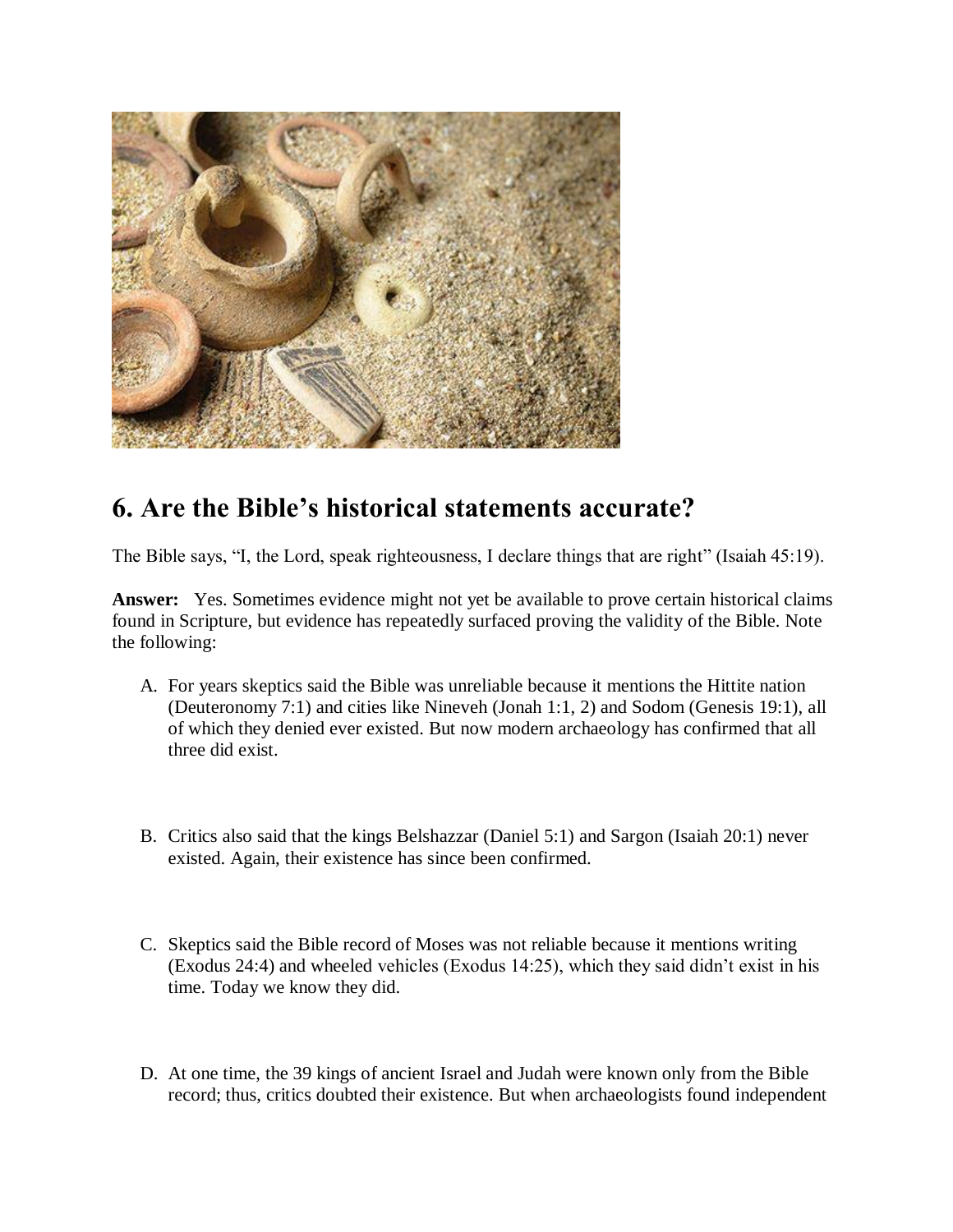

# **6. Are the Bible's historical statements accurate?**

The Bible says, "I, the Lord, speak righteousness, I declare things that are right" (Isaiah 45:19).

**Answer:** Yes. Sometimes evidence might not yet be available to prove certain historical claims found in Scripture, but evidence has repeatedly surfaced proving the validity of the Bible. Note the following:

- A. For years skeptics said the Bible was unreliable because it mentions the Hittite nation (Deuteronomy 7:1) and cities like Nineveh (Jonah 1:1, 2) and Sodom (Genesis 19:1), all of which they denied ever existed. But now modern archaeology has confirmed that all three did exist.
- B. Critics also said that the kings Belshazzar (Daniel 5:1) and Sargon (Isaiah 20:1) never existed. Again, their existence has since been confirmed.
- C. Skeptics said the Bible record of Moses was not reliable because it mentions writing (Exodus 24:4) and wheeled vehicles (Exodus 14:25), which they said didn't exist in his time. Today we know they did.
- D. At one time, the 39 kings of ancient Israel and Judah were known only from the Bible record; thus, critics doubted their existence. But when archaeologists found independent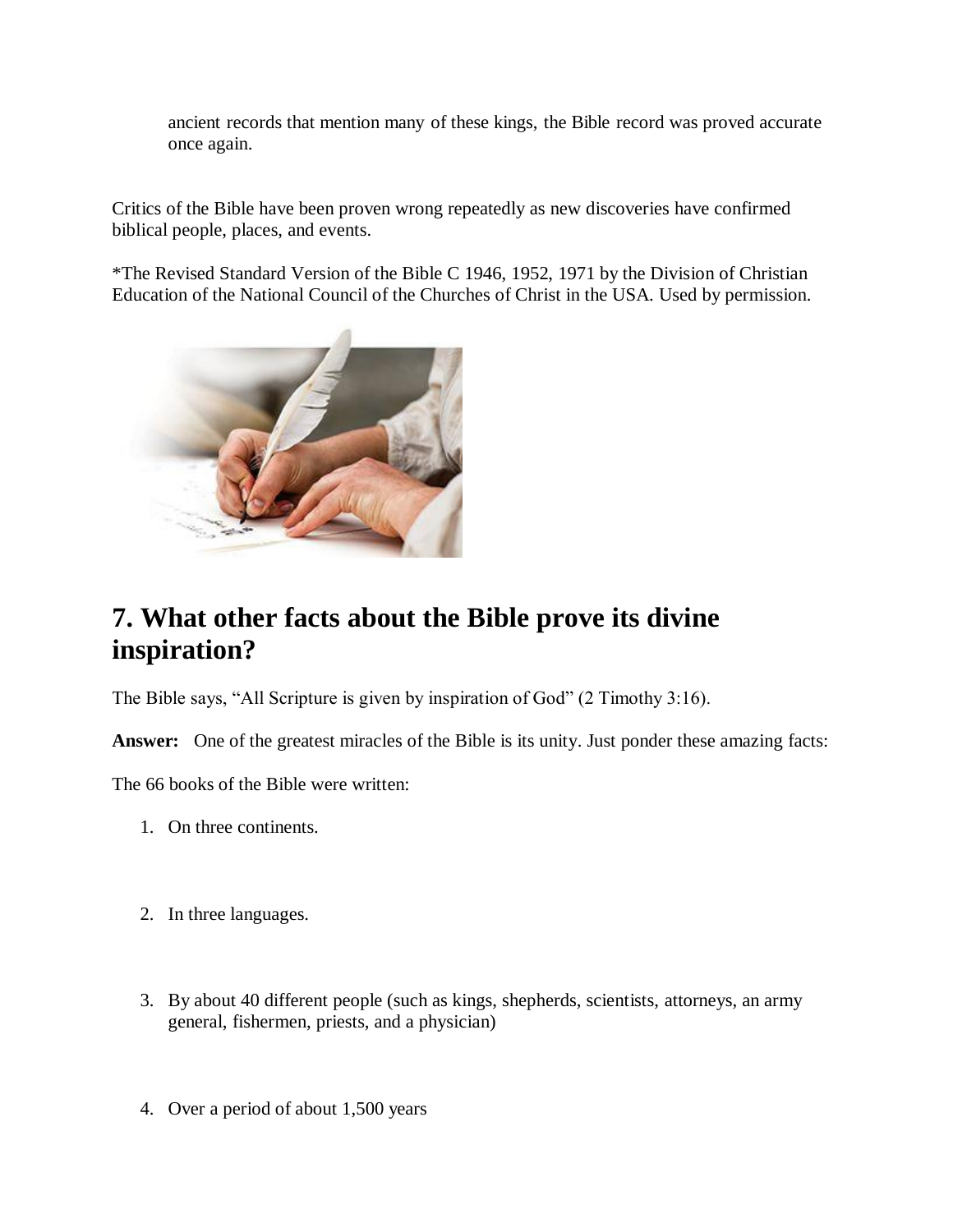ancient records that mention many of these kings, the Bible record was proved accurate once again.

Critics of the Bible have been proven wrong repeatedly as new discoveries have confirmed biblical people, places, and events.

\*The Revised Standard Version of the Bible C 1946, 1952, 1971 by the Division of Christian Education of the National Council of the Churches of Christ in the USA. Used by permission.



# **7. What other facts about the Bible prove its divine inspiration?**

The Bible says, "All Scripture is given by inspiration of God" (2 Timothy 3:16).

**Answer:** One of the greatest miracles of the Bible is its unity. Just ponder these amazing facts:

The 66 books of the Bible were written:

- 1. On three continents.
- 2. In three languages.
- 3. By about 40 different people (such as kings, shepherds, scientists, attorneys, an army general, fishermen, priests, and a physician)
- 4. Over a period of about 1,500 years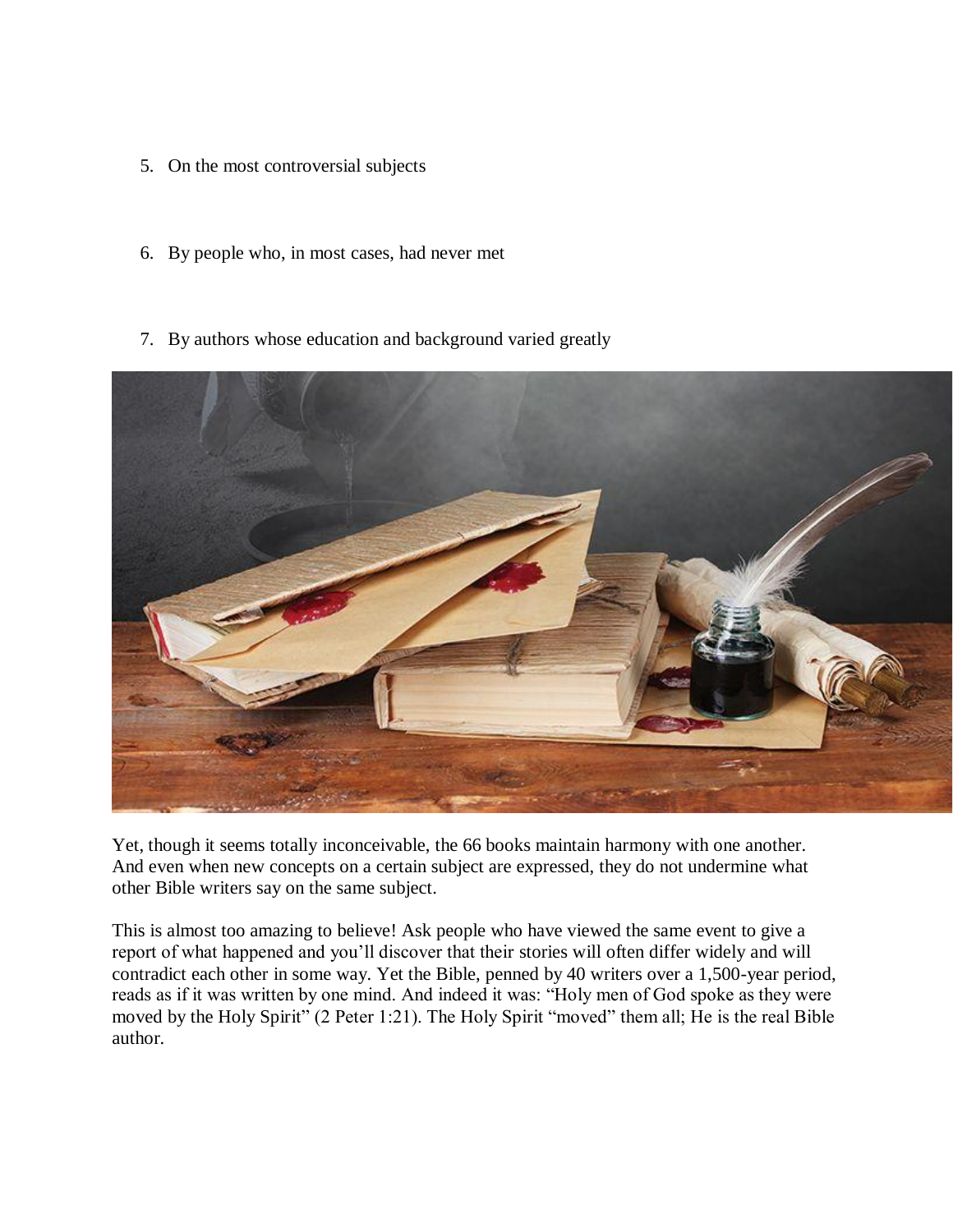- 5. On the most controversial subjects
- 6. By people who, in most cases, had never met
- 7. By authors whose education and background varied greatly



Yet, though it seems totally inconceivable, the 66 books maintain harmony with one another. And even when new concepts on a certain subject are expressed, they do not undermine what other Bible writers say on the same subject.

This is almost too amazing to believe! Ask people who have viewed the same event to give a report of what happened and you'll discover that their stories will often differ widely and will contradict each other in some way. Yet the Bible, penned by 40 writers over a 1,500-year period, reads as if it was written by one mind. And indeed it was: "Holy men of God spoke as they were moved by the Holy Spirit" (2 Peter 1:21). The Holy Spirit "moved" them all; He is the real Bible author.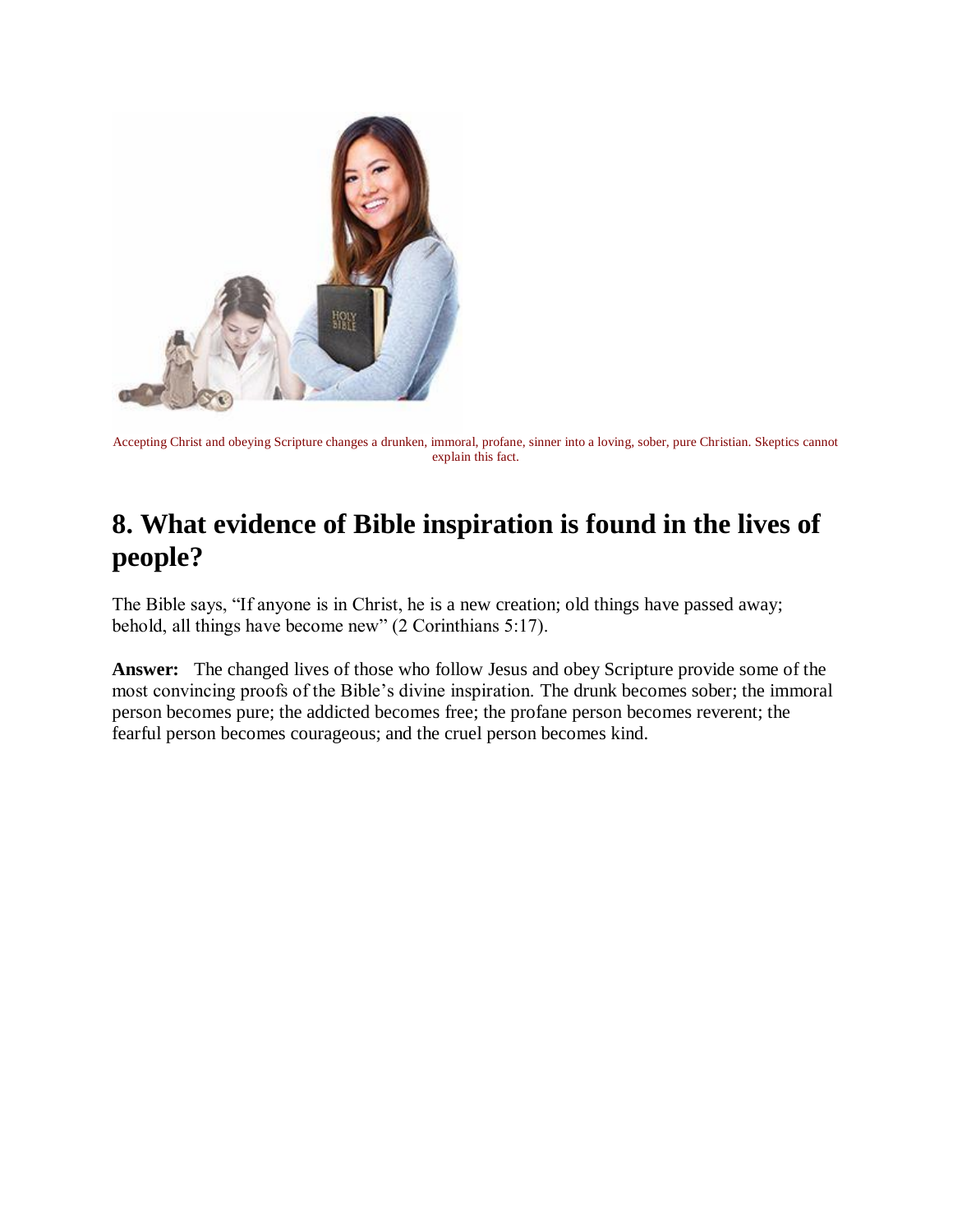

Accepting Christ and obeying Scripture changes a drunken, immoral, profane, sinner into a loving, sober, pure Christian. Skeptics cannot explain this fact.

# **8. What evidence of Bible inspiration is found in the lives of people?**

The Bible says, "If anyone is in Christ, he is a new creation; old things have passed away; behold, all things have become new" (2 Corinthians 5:17).

**Answer:** The changed lives of those who follow Jesus and obey Scripture provide some of the most convincing proofs of the Bible's divine inspiration. The drunk becomes sober; the immoral person becomes pure; the addicted becomes free; the profane person becomes reverent; the fearful person becomes courageous; and the cruel person becomes kind.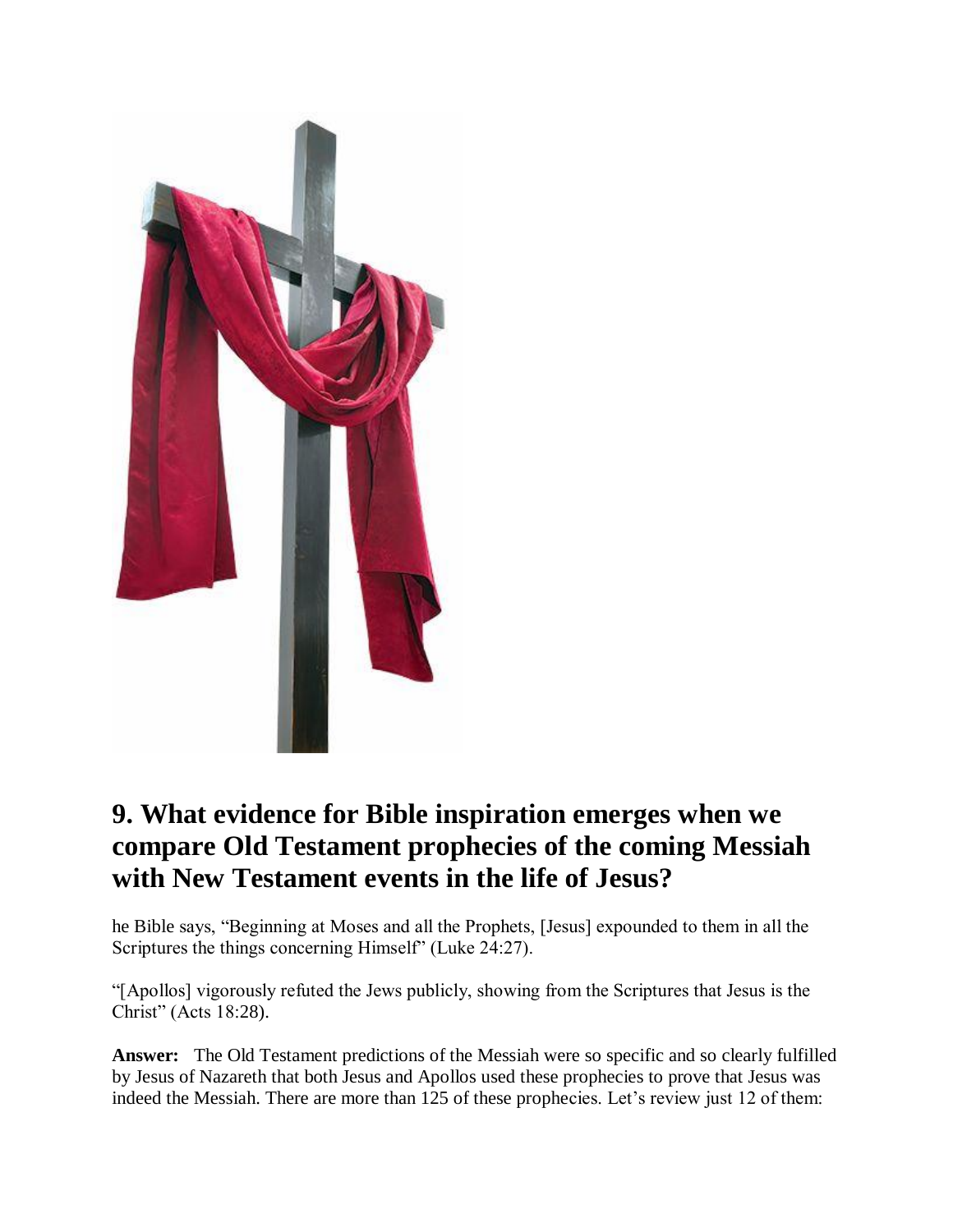

# **9. What evidence for Bible inspiration emerges when we compare Old Testament prophecies of the coming Messiah with New Testament events in the life of Jesus?**

he Bible says, "Beginning at Moses and all the Prophets, [Jesus] expounded to them in all the Scriptures the things concerning Himself" (Luke 24:27).

"[Apollos] vigorously refuted the Jews publicly, showing from the Scriptures that Jesus is the Christ" (Acts 18:28).

**Answer:** The Old Testament predictions of the Messiah were so specific and so clearly fulfilled by Jesus of Nazareth that both Jesus and Apollos used these prophecies to prove that Jesus was indeed the Messiah. There are more than 125 of these prophecies. Let's review just 12 of them: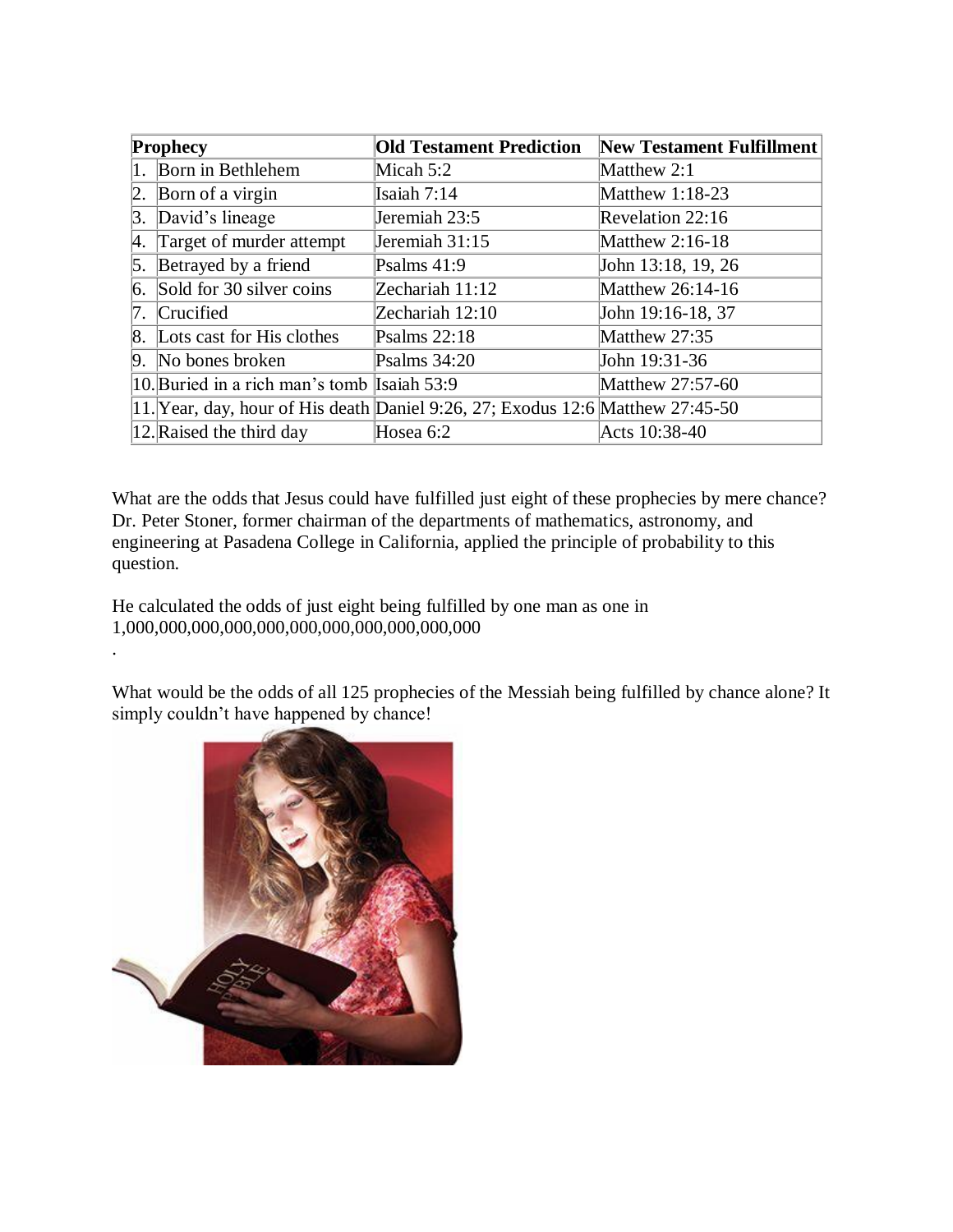| <b>Prophecy</b> |                                             | <b>Old Testament Prediction</b>                                                | <b>New Testament Fulfillment</b> |
|-----------------|---------------------------------------------|--------------------------------------------------------------------------------|----------------------------------|
|                 | 1. Born in Bethlehem                        | Micah 5:2                                                                      | Matthew 2:1                      |
| 2.              | Born of a virgin                            | Isaiah 7:14                                                                    | Matthew 1:18-23                  |
| 3.              | David's lineage                             | Jeremiah 23:5                                                                  | Revelation 22:16                 |
| Α.              | Target of murder attempt                    | Jeremiah 31:15                                                                 | Matthew 2:16-18                  |
| 5.              | Betrayed by a friend                        | Psalms $41:9$                                                                  | John 13:18, 19, 26               |
| 6.              | Sold for 30 silver coins                    | Zechariah 11:12                                                                | Matthew 26:14-16                 |
|                 | 7. Crucified                                | Zechariah 12:10                                                                | John 19:16-18, 37                |
|                 | 8. Lots cast for His clothes                | Psalms $22:18$                                                                 | Matthew 27:35                    |
|                 | 9. No bones broken                          | Psalms $34:20$                                                                 | John 19:31-36                    |
|                 | 10. Buried in a rich man's tomb Isaiah 53:9 |                                                                                | Matthew 27:57-60                 |
|                 |                                             | 11. Year, day, hour of His death Daniel 9:26, 27; Exodus 12:6 Matthew 27:45-50 |                                  |
|                 | 12. Raised the third day                    | Hosea 6:2                                                                      | Acts 10:38-40                    |

What are the odds that Jesus could have fulfilled just eight of these prophecies by mere chance? Dr. Peter Stoner, former chairman of the departments of mathematics, astronomy, and engineering at Pasadena College in California, applied the principle of probability to this question.

He calculated the odds of just eight being fulfilled by one man as one in 1,000,000,000,000,000,000,000,000,000,000,000

What would be the odds of all 125 prophecies of the Messiah being fulfilled by chance alone? It simply couldn't have happened by chance!



.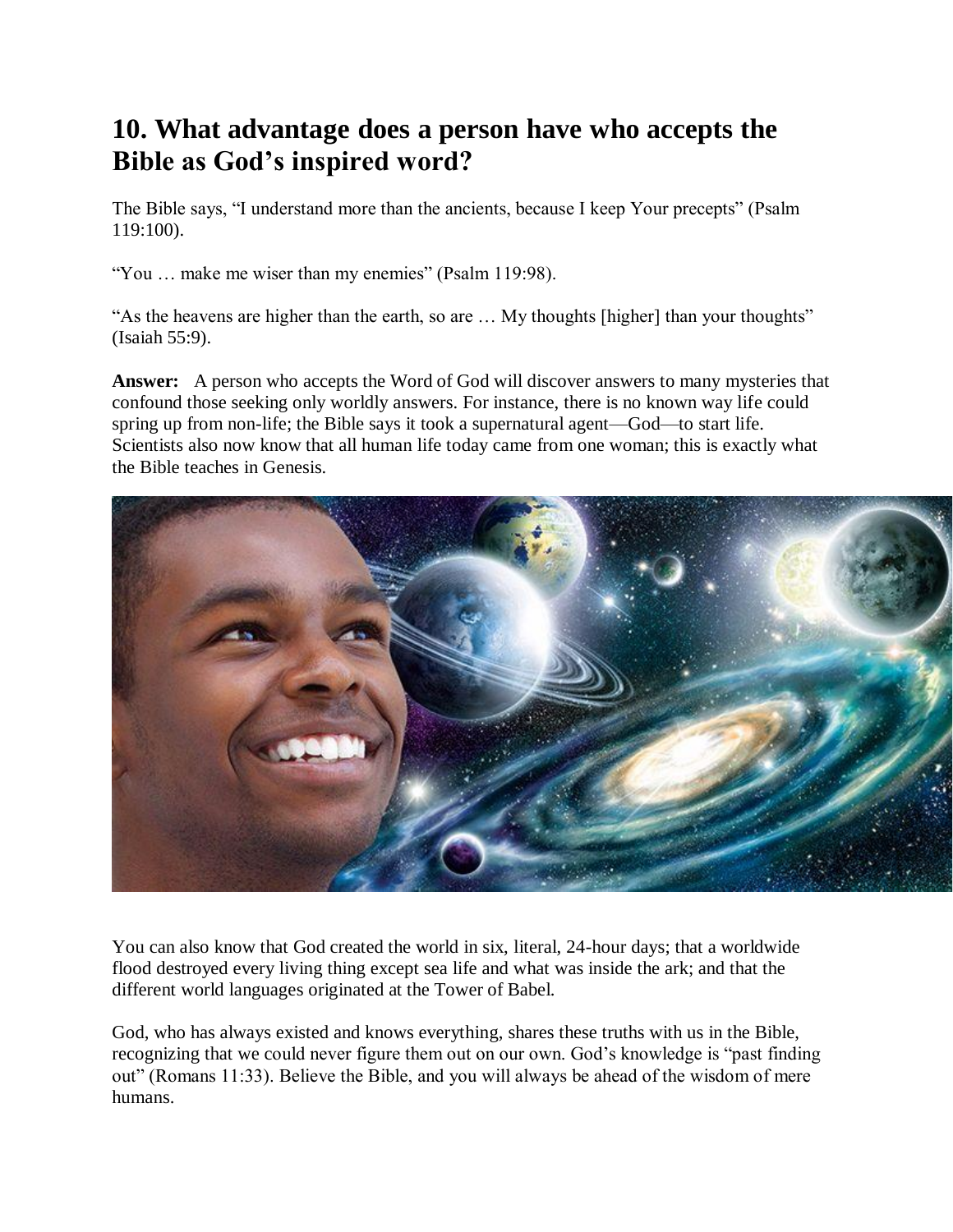# **10. What advantage does a person have who accepts the Bible as God's inspired word?**

The Bible says, "I understand more than the ancients, because I keep Your precepts" (Psalm 119:100).

"You … make me wiser than my enemies" (Psalm 119:98).

"As the heavens are higher than the earth, so are … My thoughts [higher] than your thoughts" (Isaiah 55:9).

**Answer:** A person who accepts the Word of God will discover answers to many mysteries that confound those seeking only worldly answers. For instance, there is no known way life could spring up from non-life; the Bible says it took a supernatural agent—God—to start life. Scientists also now know that all human life today came from one woman; this is exactly what the Bible teaches in Genesis.



You can also know that God created the world in six, literal, 24-hour days; that a worldwide flood destroyed every living thing except sea life and what was inside the ark; and that the different world languages originated at the Tower of Babel.

God, who has always existed and knows everything, shares these truths with us in the Bible, recognizing that we could never figure them out on our own. God's knowledge is "past finding out" (Romans 11:33). Believe the Bible, and you will always be ahead of the wisdom of mere humans.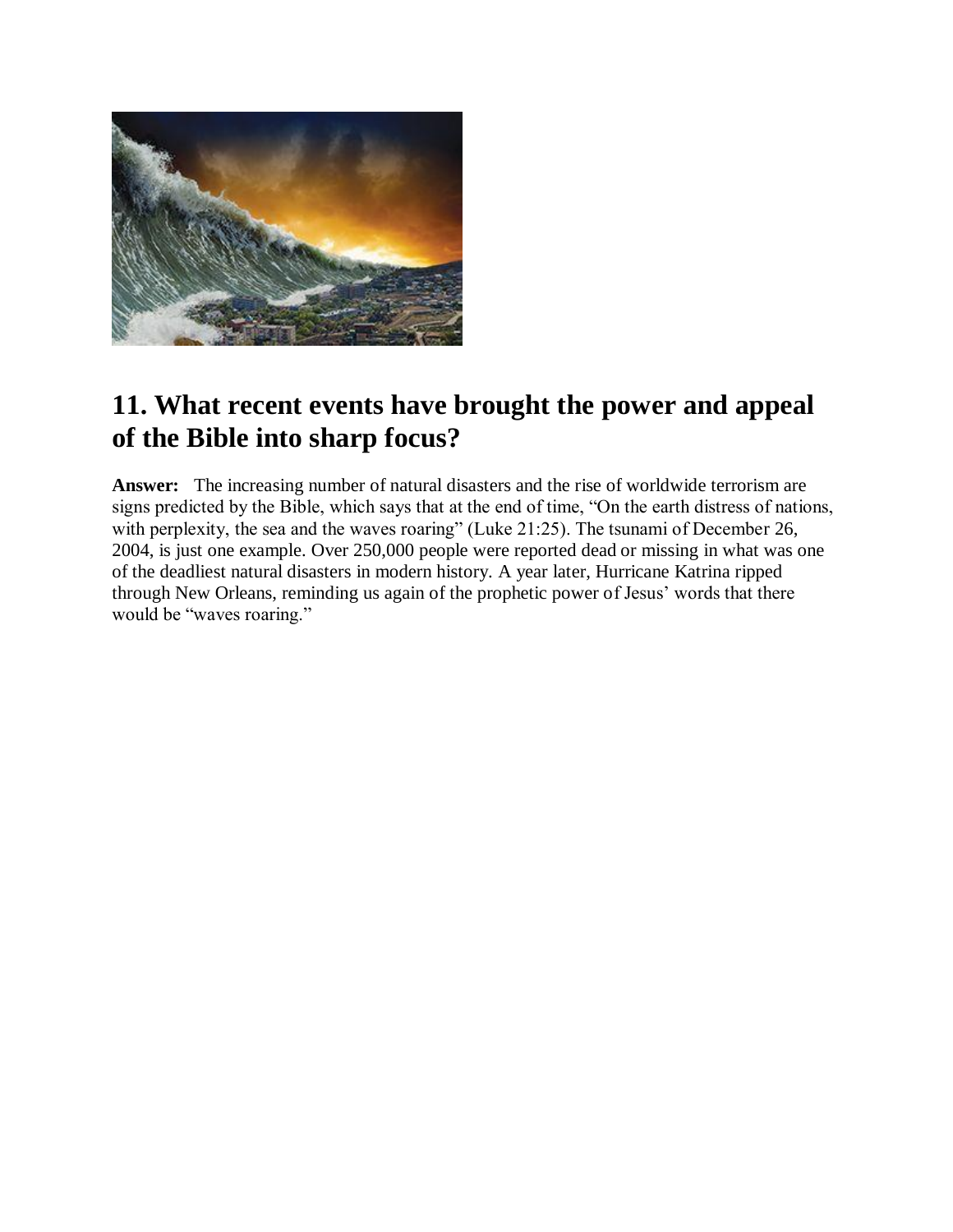

# **11. What recent events have brought the power and appeal of the Bible into sharp focus?**

**Answer:** The increasing number of natural disasters and the rise of worldwide terrorism are signs predicted by the Bible, which says that at the end of time, "On the earth distress of nations, with perplexity, the sea and the waves roaring" (Luke 21:25). The tsunami of December 26, 2004, is just one example. Over 250,000 people were reported dead or missing in what was one of the deadliest natural disasters in modern history. A year later, Hurricane Katrina ripped through New Orleans, reminding us again of the prophetic power of Jesus' words that there would be "waves roaring."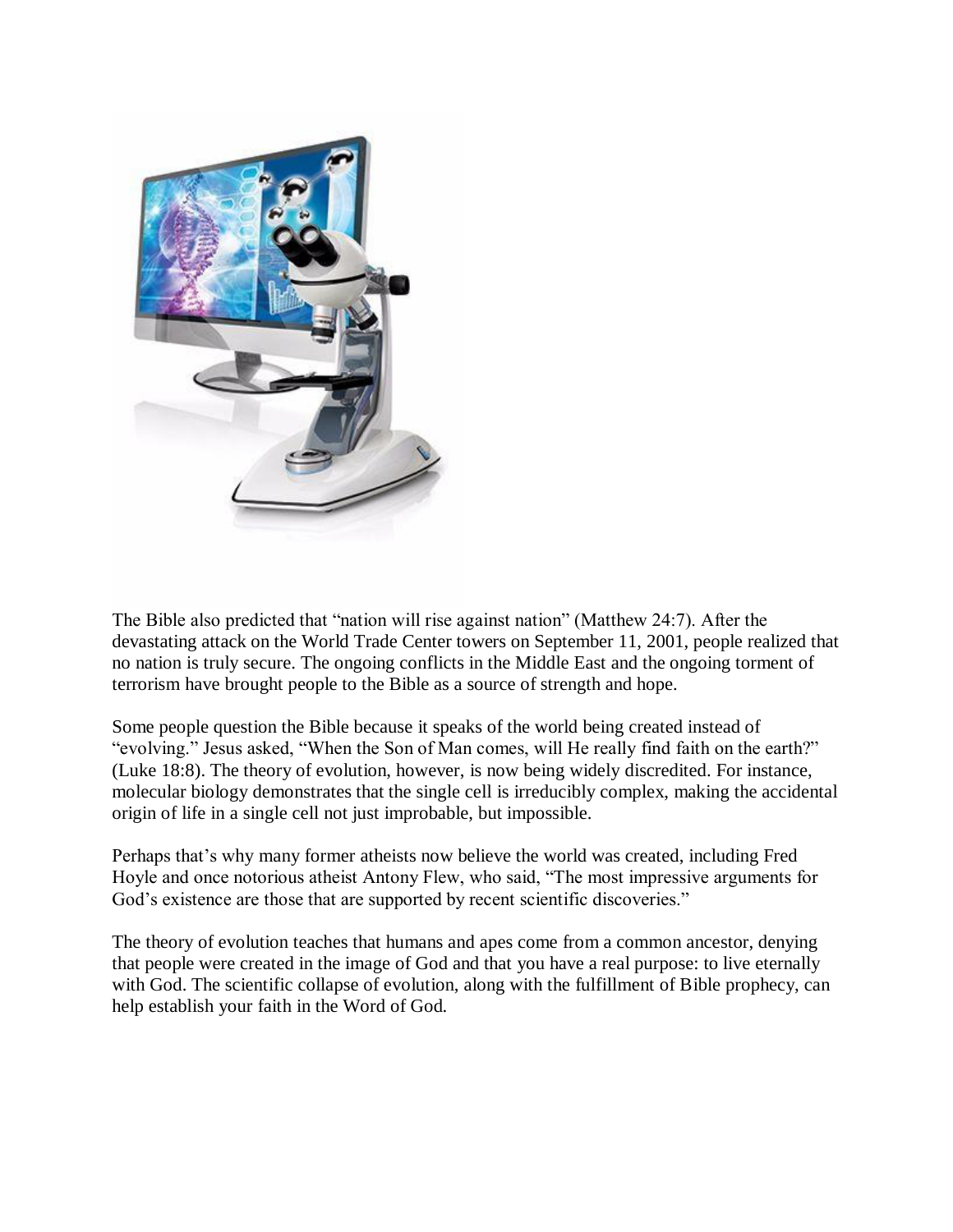

The Bible also predicted that "nation will rise against nation" (Matthew 24:7). After the devastating attack on the World Trade Center towers on September 11, 2001, people realized that no nation is truly secure. The ongoing conflicts in the Middle East and the ongoing torment of terrorism have brought people to the Bible as a source of strength and hope.

Some people question the Bible because it speaks of the world being created instead of "evolving." Jesus asked, "When the Son of Man comes, will He really find faith on the earth?" (Luke 18:8). The theory of evolution, however, is now being widely discredited. For instance, molecular biology demonstrates that the single cell is irreducibly complex, making the accidental origin of life in a single cell not just improbable, but impossible.

Perhaps that's why many former atheists now believe the world was created, including Fred Hoyle and once notorious atheist Antony Flew, who said, "The most impressive arguments for God's existence are those that are supported by recent scientific discoveries."

The theory of evolution teaches that humans and apes come from a common ancestor, denying that people were created in the image of God and that you have a real purpose: to live eternally with God. The scientific collapse of evolution, along with the fulfillment of Bible prophecy, can help establish your faith in the Word of God.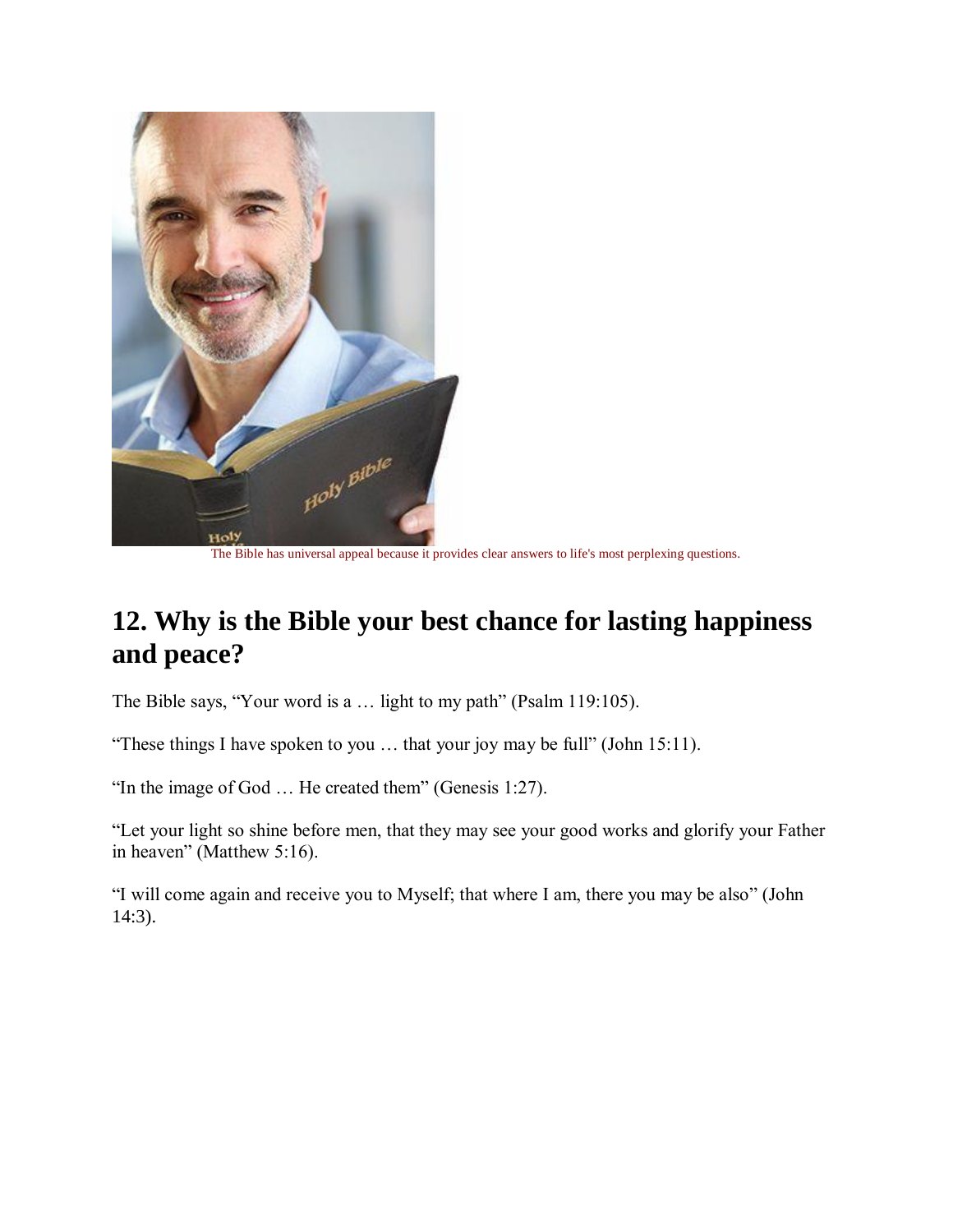

The Bible has universal appeal because it provides clear answers to life's most perplexing questions.

## **12. Why is the Bible your best chance for lasting happiness and peace?**

The Bible says, "Your word is a … light to my path" (Psalm 119:105).

"These things I have spoken to you … that your joy may be full" (John 15:11).

"In the image of God … He created them" (Genesis 1:27).

"Let your light so shine before men, that they may see your good works and glorify your Father in heaven" (Matthew 5:16).

"I will come again and receive you to Myself; that where I am, there you may be also" (John 14:3).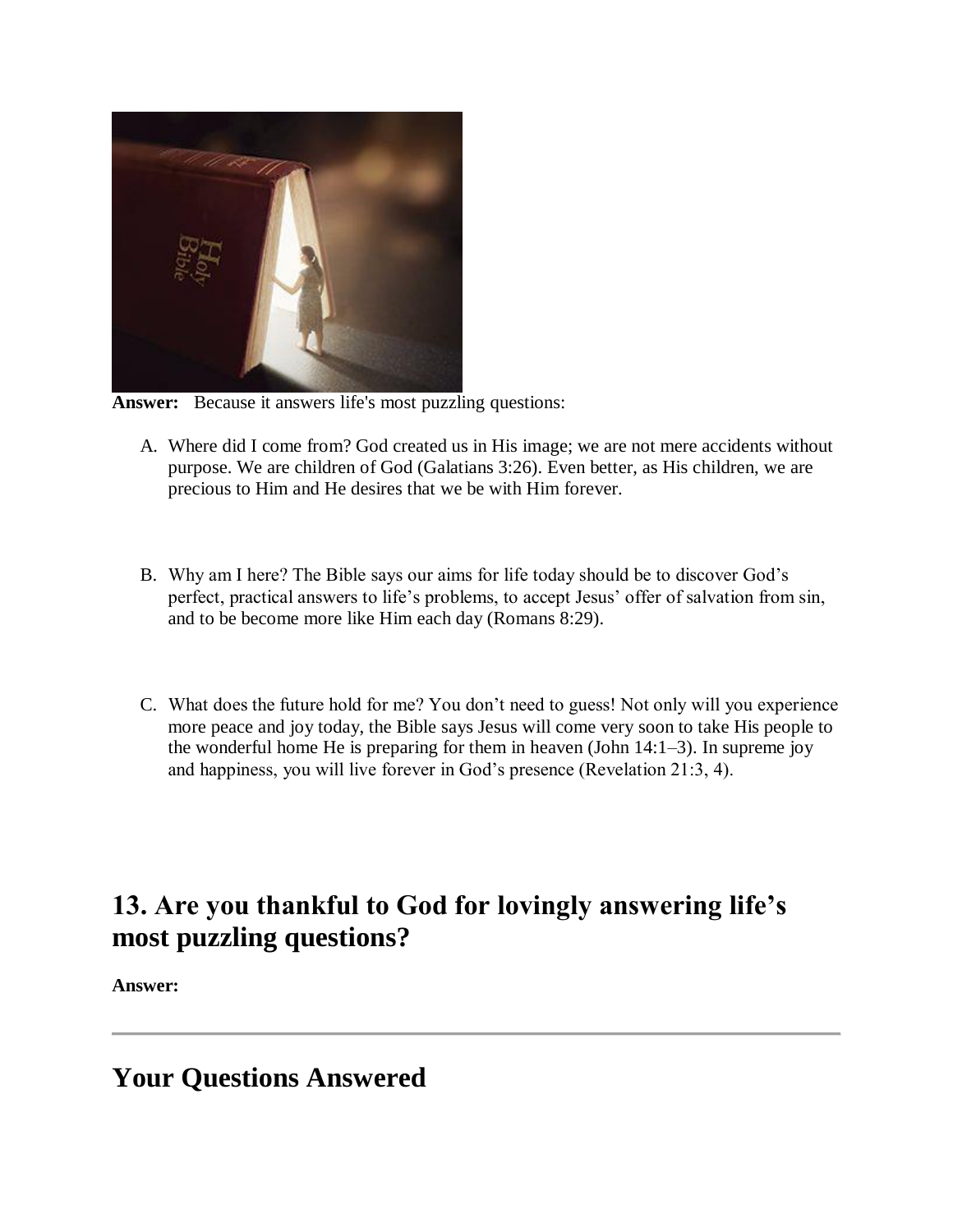

**Answer:** Because it answers life's most puzzling questions:

- A. Where did I come from? God created us in His image; we are not mere accidents without purpose. We are children of God (Galatians 3:26). Even better, as His children, we are precious to Him and He desires that we be with Him forever.
- B. Why am I here? The Bible says our aims for life today should be to discover God's perfect, practical answers to life's problems, to accept Jesus' offer of salvation from sin, and to be become more like Him each day (Romans 8:29).
- C. What does the future hold for me? You don't need to guess! Not only will you experience more peace and joy today, the Bible says Jesus will come very soon to take His people to the wonderful home He is preparing for them in heaven (John 14:1–3). In supreme joy and happiness, you will live forever in God's presence (Revelation 21:3, 4).

# **13. Are you thankful to God for lovingly answering life's most puzzling questions?**

**Answer:** 

**Your Questions Answered**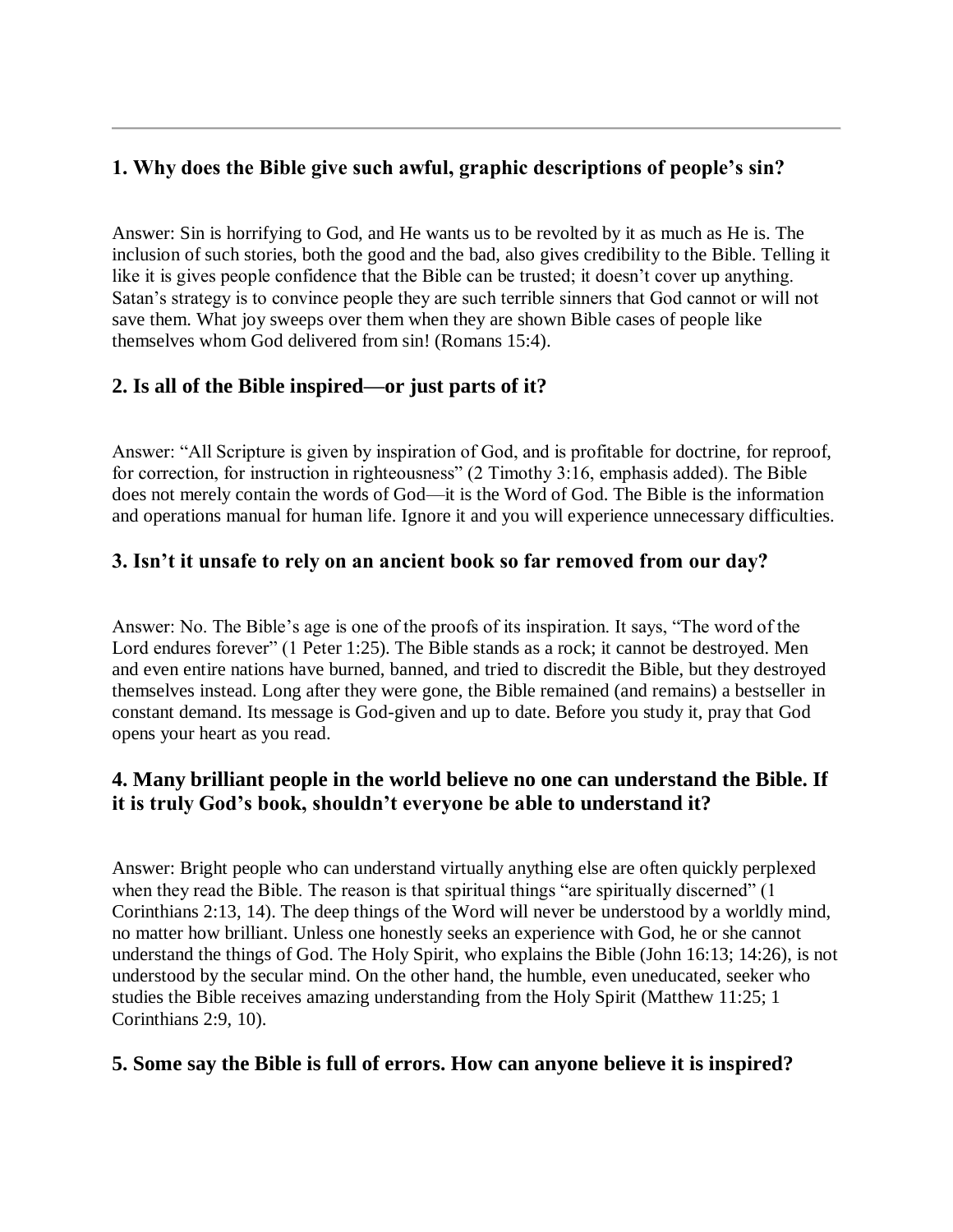### **1. Why does the Bible give such awful, graphic descriptions of people's sin?**

Answer: Sin is horrifying to God, and He wants us to be revolted by it as much as He is. The inclusion of such stories, both the good and the bad, also gives credibility to the Bible. Telling it like it is gives people confidence that the Bible can be trusted; it doesn't cover up anything. Satan's strategy is to convince people they are such terrible sinners that God cannot or will not save them. What joy sweeps over them when they are shown Bible cases of people like themselves whom God delivered from sin! (Romans 15:4).

### **2. Is all of the Bible inspired—or just parts of it?**

Answer: "All Scripture is given by inspiration of God, and is profitable for doctrine, for reproof, for correction, for instruction in righteousness" (2 Timothy 3:16, emphasis added). The Bible does not merely contain the words of God—it is the Word of God. The Bible is the information and operations manual for human life. Ignore it and you will experience unnecessary difficulties.

### **3. Isn't it unsafe to rely on an ancient book so far removed from our day?**

Answer: No. The Bible's age is one of the proofs of its inspiration. It says, "The word of the Lord endures forever" (1 Peter 1:25). The Bible stands as a rock; it cannot be destroyed. Men and even entire nations have burned, banned, and tried to discredit the Bible, but they destroyed themselves instead. Long after they were gone, the Bible remained (and remains) a bestseller in constant demand. Its message is God-given and up to date. Before you study it, pray that God opens your heart as you read.

### **4. Many brilliant people in the world believe no one can understand the Bible. If it is truly God's book, shouldn't everyone be able to understand it?**

Answer: Bright people who can understand virtually anything else are often quickly perplexed when they read the Bible. The reason is that spiritual things "are spiritually discerned" (1 Corinthians 2:13, 14). The deep things of the Word will never be understood by a worldly mind, no matter how brilliant. Unless one honestly seeks an experience with God, he or she cannot understand the things of God. The Holy Spirit, who explains the Bible (John 16:13; 14:26), is not understood by the secular mind. On the other hand, the humble, even uneducated, seeker who studies the Bible receives amazing understanding from the Holy Spirit (Matthew 11:25; 1 Corinthians 2:9, 10).

### **5. Some say the Bible is full of errors. How can anyone believe it is inspired?**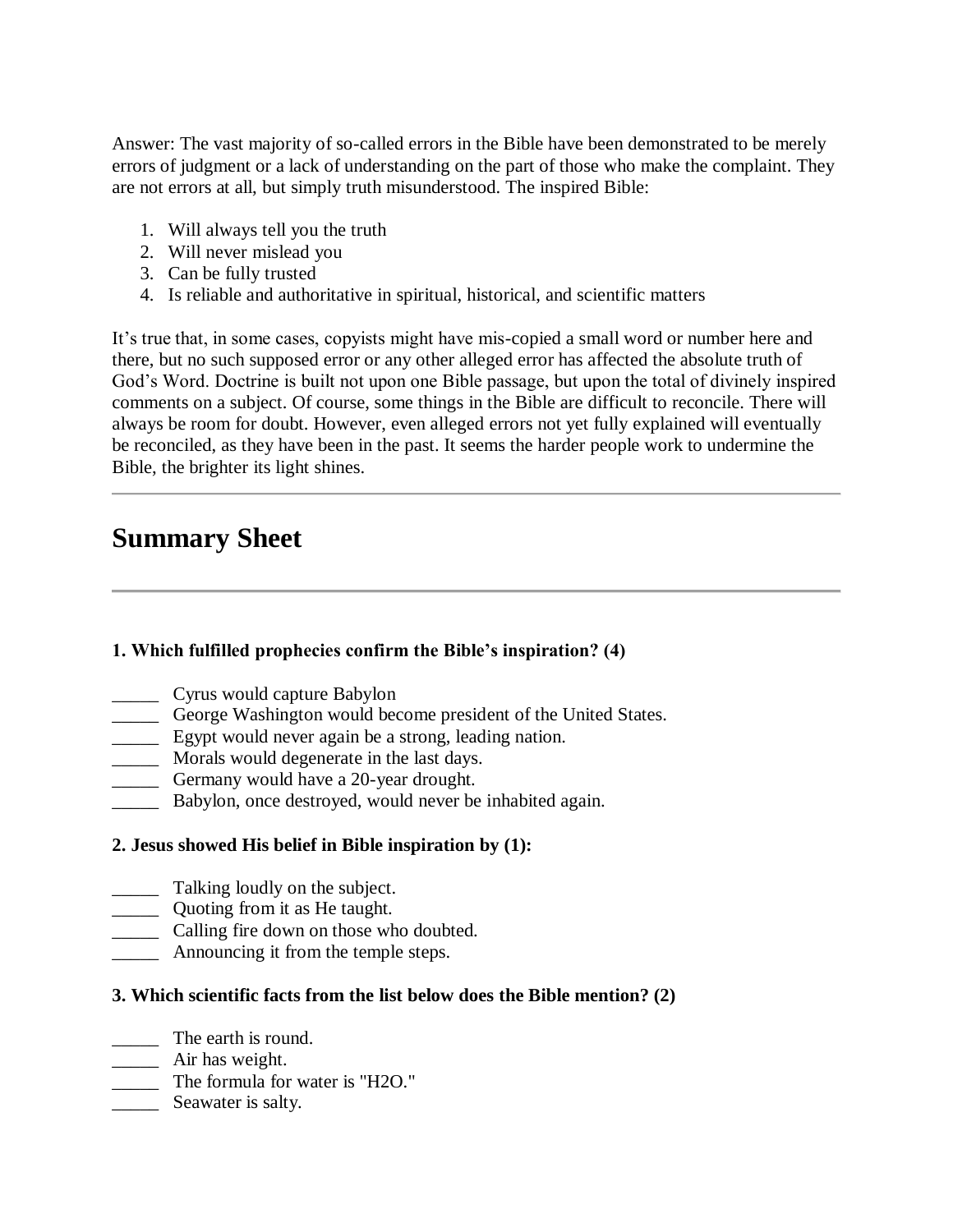Answer: The vast majority of so-called errors in the Bible have been demonstrated to be merely errors of judgment or a lack of understanding on the part of those who make the complaint. They are not errors at all, but simply truth misunderstood. The inspired Bible:

- 1. Will always tell you the truth
- 2. Will never mislead you
- 3. Can be fully trusted
- 4. Is reliable and authoritative in spiritual, historical, and scientific matters

It's true that, in some cases, copyists might have mis-copied a small word or number here and there, but no such supposed error or any other alleged error has affected the absolute truth of God's Word. Doctrine is built not upon one Bible passage, but upon the total of divinely inspired comments on a subject. Of course, some things in the Bible are difficult to reconcile. There will always be room for doubt. However, even alleged errors not yet fully explained will eventually be reconciled, as they have been in the past. It seems the harder people work to undermine the Bible, the brighter its light shines.

### **Summary Sheet**

### **1. Which fulfilled prophecies confirm the Bible's inspiration? (4)**

- \_\_\_\_\_ Cyrus would capture Babylon
- \_\_\_\_\_ George Washington would become president of the United States.
- **Egypt would never again be a strong, leading nation.**
- \_\_\_\_\_ Morals would degenerate in the last days.
- **EXECUTE:** Germany would have a 20-year drought.
- \_\_\_\_\_ Babylon, once destroyed, would never be inhabited again.

### **2. Jesus showed His belief in Bible inspiration by (1):**

- \_\_\_\_\_ Talking loudly on the subject.
- **Quoting from it as He taught.**
- \_\_\_\_\_ Calling fire down on those who doubted.
- \_\_\_\_\_ Announcing it from the temple steps.

### **3. Which scientific facts from the list below does the Bible mention? (2)**

- \_\_\_\_\_ The earth is round.
- \_\_\_\_\_ Air has weight.
- \_\_\_\_\_ The formula for water is "H2O."
- Seawater is salty.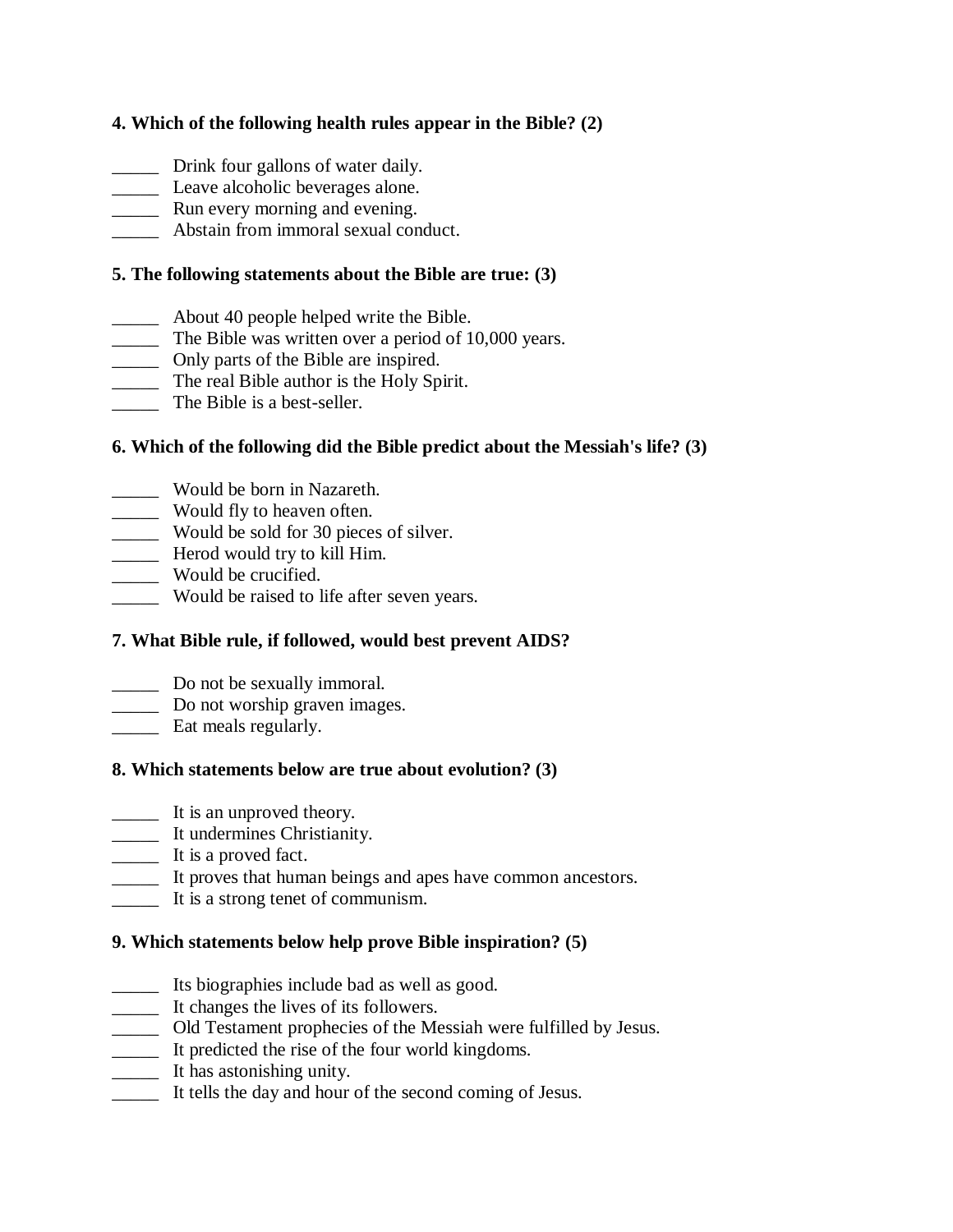### **4. Which of the following health rules appear in the Bible? (2)**

- \_\_\_\_\_ Drink four gallons of water daily.
- Leave alcoholic beverages alone.
- **EXECUTE:** Run every morning and evening.
- **EXECUTE:** Abstain from immoral sexual conduct.

### **5. The following statements about the Bible are true: (3)**

- \_\_\_\_\_ About 40 people helped write the Bible.
- \_\_\_\_\_ The Bible was written over a period of 10,000 years.
- **Example 21** Only parts of the Bible are inspired.
- The real Bible author is the Holy Spirit.
- The Bible is a best-seller.

### **6. Which of the following did the Bible predict about the Messiah's life? (3)**

- \_\_\_\_\_ Would be born in Nazareth.
- \_\_\_\_\_ Would fly to heaven often.
- \_\_\_\_\_ Would be sold for 30 pieces of silver.
- **Herod would try to kill Him.**
- $\frac{1}{\sqrt{2}}$  Would be crucified.
- \_\_\_\_\_ Would be raised to life after seven years.

### **7. What Bible rule, if followed, would best prevent AIDS?**

- \_\_\_\_\_ Do not be sexually immoral.
- \_\_\_\_\_ Do not worship graven images.
- **Eat meals regularly.**

### **8. Which statements below are true about evolution? (3)**

- \_\_\_\_\_ It is an unproved theory.
- \_\_\_\_\_ It undermines Christianity.
- \_\_\_\_\_ It is a proved fact.
- \_\_\_\_\_ It proves that human beings and apes have common ancestors.
- \_\_\_\_\_ It is a strong tenet of communism.

### **9. Which statements below help prove Bible inspiration? (5)**

- \_\_\_\_\_ Its biographies include bad as well as good.
- \_\_\_\_\_ It changes the lives of its followers.
- \_\_\_\_\_ Old Testament prophecies of the Messiah were fulfilled by Jesus.
- \_\_\_\_\_ It predicted the rise of the four world kingdoms.
- \_\_\_\_\_ It has astonishing unity.
- \_\_\_\_\_ It tells the day and hour of the second coming of Jesus.